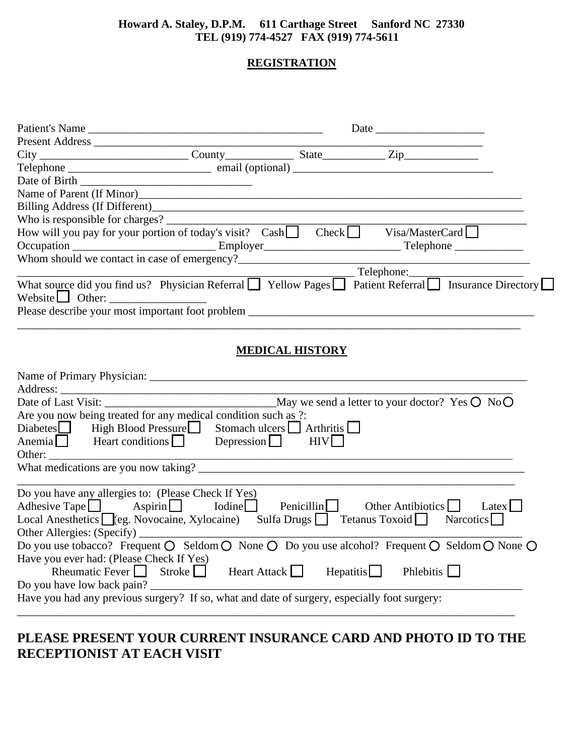#### **Howard A. Staley, D.P.M. 611 Carthage Street Sanford NC 27330 TEL (919) 774-4527 FAX (919) 774-5611**

#### **REGISTRATION**

| City City County County State Zip                                                                                                                                                          |               |                                            |                                                                                                                       |
|--------------------------------------------------------------------------------------------------------------------------------------------------------------------------------------------|---------------|--------------------------------------------|-----------------------------------------------------------------------------------------------------------------------|
|                                                                                                                                                                                            |               |                                            |                                                                                                                       |
|                                                                                                                                                                                            |               |                                            |                                                                                                                       |
|                                                                                                                                                                                            |               |                                            |                                                                                                                       |
|                                                                                                                                                                                            |               |                                            |                                                                                                                       |
|                                                                                                                                                                                            |               |                                            |                                                                                                                       |
|                                                                                                                                                                                            |               |                                            |                                                                                                                       |
|                                                                                                                                                                                            |               |                                            |                                                                                                                       |
|                                                                                                                                                                                            |               |                                            |                                                                                                                       |
|                                                                                                                                                                                            |               |                                            | Telephone:<br>What source did you find us? Physician Referral ■ Yellow Pages ■ Patient Referral ■ Insurance Directory |
|                                                                                                                                                                                            |               |                                            |                                                                                                                       |
|                                                                                                                                                                                            |               |                                            |                                                                                                                       |
|                                                                                                                                                                                            |               |                                            |                                                                                                                       |
|                                                                                                                                                                                            |               | <b>MEDICAL HISTORY</b>                     |                                                                                                                       |
|                                                                                                                                                                                            |               |                                            |                                                                                                                       |
|                                                                                                                                                                                            |               |                                            |                                                                                                                       |
| Are you now being treated for any medical condition such as ?:                                                                                                                             |               |                                            |                                                                                                                       |
| Diabetes <b></b> High Blood Pressure Stomach ulcers Arthritis                                                                                                                              |               |                                            |                                                                                                                       |
| Anemia Heart conditions Depression HIV                                                                                                                                                     |               |                                            |                                                                                                                       |
|                                                                                                                                                                                            |               |                                            |                                                                                                                       |
|                                                                                                                                                                                            |               |                                            |                                                                                                                       |
| Do you have any allergies to: (Please Check If Yes)<br>Local Anesthetics ■ (eg. Novocaine, Xylocaine) Sulfa Drugs ■ Tetanus Toxoid ■ Narcotics<br>Have you ever had: (Please Check If Yes) |               |                                            | Do you use tobacco? Frequent O Seldom O None O Do you use alcohol? Frequent O Seldom O None O                         |
| Rheumatic Fever                                                                                                                                                                            | Stroke $\Box$ | Heart Attack $\Box$<br>$He$ patitis $\Box$ | Phlebitis                                                                                                             |
| Do you have low back pain?                                                                                                                                                                 |               |                                            |                                                                                                                       |
| Have you had any previous surgery? If so, what and date of surgery, especially foot surgery:                                                                                               |               |                                            |                                                                                                                       |
|                                                                                                                                                                                            |               |                                            |                                                                                                                       |
|                                                                                                                                                                                            |               |                                            |                                                                                                                       |

### **PLEASE PRESENT YOUR CURRENT INSURANCE CARD AND PHOTO ID TO THE RECEPTIONIST AT EACH VISIT**